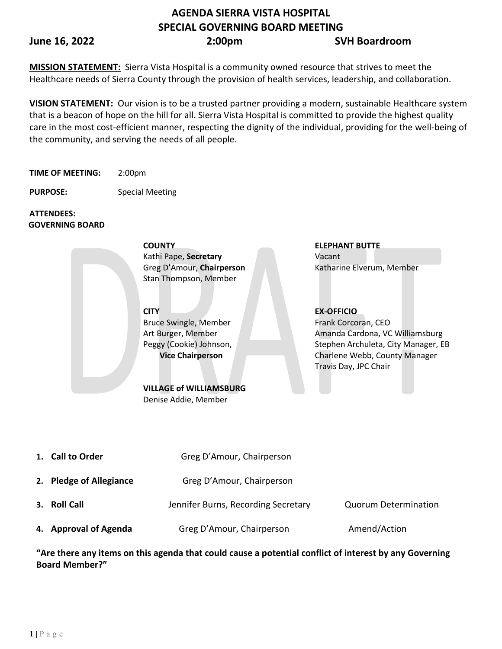# **AGENDA SIERRA VISTA HOSPITAL SPECIAL GOVERNING BOARD MEETING**

### **June 16, 2022 2:00pm SVH Boardroom**

**MISSION STATEMENT:** Sierra Vista Hospital is a community owned resource that strives to meet the Healthcare needs of Sierra County through the provision of health services, leadership, and collaboration.

**VISION STATEMENT:** Our vision is to be a trusted partner providing a modern, sustainable Healthcare system that is a beacon of hope on the hill for all. Sierra Vista Hospital is committed to provide the highest quality care in the most cost-efficient manner, respecting the dignity of the individual, providing for the well-being of the community, and serving the needs of all people.

**TIME OF MEETING:** 2:00pm

**PURPOSE:** Special Meeting

**ATTENDEES: GOVERNING BOARD**

> **COUNTY ELEPHANT BUTTE**  Kathi Pape, **Secretary** Vacant Stan Thompson, Member

**CITY EX-OFFICIO** Bruce Swingle, Member Art Burger, Member Peggy (Cookie) Johnson, **Vice Chairperson**

**VILLAGE of WILLIAMSBURG**  Denise Addie, Member

Greg D'Amour, **Chairperson** Katharine Elverum, Member

Frank Corcoran, CEO Amanda Cardona, VC Williamsburg Stephen Archuleta, City Manager, EB Charlene Webb, County Manager Travis Day, JPC Chair

| 1. Call to Order        | Greg D'Amour, Chairperson           |                             |
|-------------------------|-------------------------------------|-----------------------------|
| 2. Pledge of Allegiance | Greg D'Amour, Chairperson           |                             |
| 3. Roll Call            | Jennifer Burns, Recording Secretary | <b>Quorum Determination</b> |
| 4. Approval of Agenda   | Greg D'Amour, Chairperson           | Amend/Action                |

**"Are there any items on this agenda that could cause a potential conflict of interest by any Governing Board Member?"**